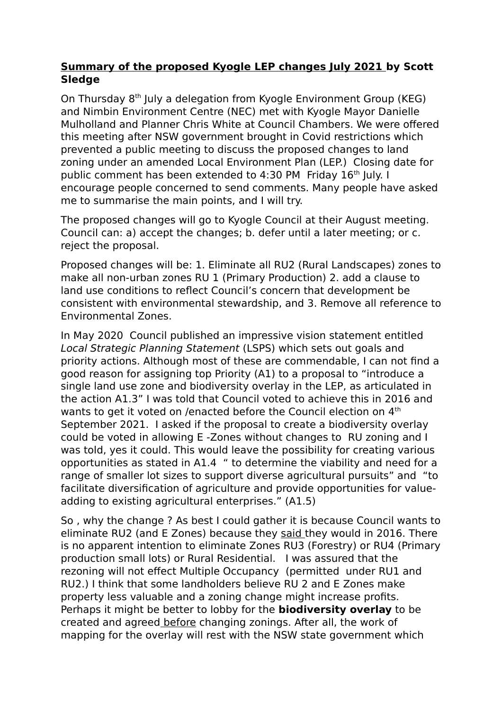## **Summary of the proposed Kyogle LEP changes July 2021 by Scott Sledge**

On Thursday 8<sup>th</sup> July a delegation from Kyogle Environment Group (KEG) and Nimbin Environment Centre (NEC) met with Kyogle Mayor Danielle Mulholland and Planner Chris White at Council Chambers. We were offered this meeting after NSW government brought in Covid restrictions which prevented a public meeting to discuss the proposed changes to land zoning under an amended Local Environment Plan (LEP.) Closing date for public comment has been extended to 4:30 PM Friday 16<sup>th</sup> July. I encourage people concerned to send comments. Many people have asked me to summarise the main points, and I will try.

The proposed changes will go to Kyogle Council at their August meeting. Council can: a) accept the changes; b. defer until a later meeting; or c. reject the proposal.

Proposed changes will be: 1. Eliminate all RU2 (Rural Landscapes) zones to make all non-urban zones RU 1 (Primary Production) 2. add a clause to land use conditions to reflect Council's concern that development be consistent with environmental stewardship, and 3. Remove all reference to Environmental Zones.

In May 2020 Council published an impressive vision statement entitled Local Strategic Planning Statement (LSPS) which sets out goals and priority actions. Although most of these are commendable, I can not find a good reason for assigning top Priority (A1) to a proposal to "introduce a single land use zone and biodiversity overlay in the LEP, as articulated in the action A1.3" I was told that Council voted to achieve this in 2016 and wants to get it voted on /enacted before the Council election on 4<sup>th</sup> September 2021. I asked if the proposal to create a biodiversity overlay could be voted in allowing E -Zones without changes to RU zoning and I was told, yes it could. This would leave the possibility for creating various opportunities as stated in A1.4 " to determine the viability and need for a range of smaller lot sizes to support diverse agricultural pursuits" and "to facilitate diversification of agriculture and provide opportunities for valueadding to existing agricultural enterprises." (A1.5)

So , why the change ? As best I could gather it is because Council wants to eliminate RU2 (and E Zones) because they said they would in 2016. There is no apparent intention to eliminate Zones RU3 (Forestry) or RU4 (Primary production small lots) or Rural Residential. I was assured that the rezoning will not effect Multiple Occupancy (permitted under RU1 and RU2.) I think that some landholders believe RU 2 and E Zones make property less valuable and a zoning change might increase profits. Perhaps it might be better to lobby for the **biodiversity overlay** to be created and agreed before changing zonings. After all, the work of mapping for the overlay will rest with the NSW state government which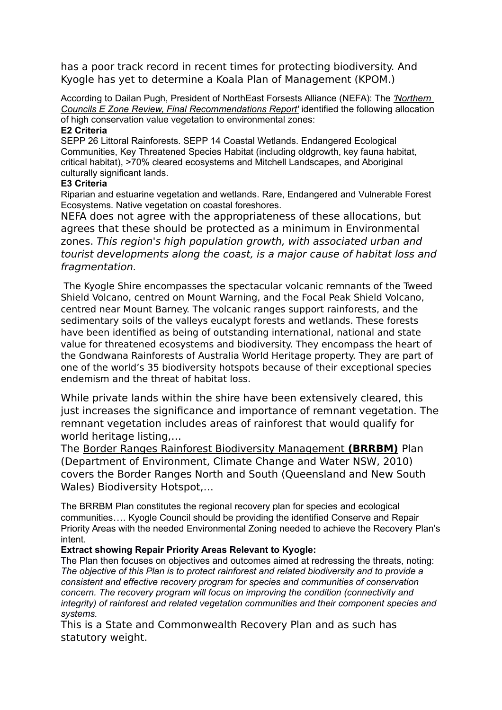has a poor track record in recent times for protecting biodiversity. And Kyogle has yet to determine a Koala Plan of Management (KPOM.)

According to Dailan Pugh, President of NorthEast Forsests Alliance (NEFA): The *'Northern Councils E Zone Review, Final Recommendations Report'* identified the following allocation of high conservation value vegetation to environmental zones:

#### **E2 Criteria**

SEPP 26 Littoral Rainforests. SEPP 14 Coastal Wetlands. Endangered Ecological Communities, Key Threatened Species Habitat (including oldgrowth, key fauna habitat, critical habitat), >70% cleared ecosystems and Mitchell Landscapes, and Aboriginal culturally significant lands.

#### **E3 Criteria**

Riparian and estuarine vegetation and wetlands. Rare, Endangered and Vulnerable Forest Ecosystems. Native vegetation on coastal foreshores.

NEFA does not agree with the appropriateness of these allocations, but agrees that these should be protected as a minimum in Environmental zones. This region's high population growth, with associated urban and tourist developments along the coast, is a major cause of habitat loss and fragmentation.

 The Kyogle Shire encompasses the spectacular volcanic remnants of the Tweed Shield Volcano, centred on Mount Warning, and the Focal Peak Shield Volcano, centred near Mount Barney. The volcanic ranges support rainforests, and the sedimentary soils of the valleys eucalypt forests and wetlands. These forests have been identified as being of outstanding international, national and state value for threatened ecosystems and biodiversity. They encompass the heart of the Gondwana Rainforests of Australia World Heritage property. They are part of one of the world's 35 biodiversity hotspots because of their exceptional species endemism and the threat of habitat loss.

While private lands within the shire have been extensively cleared, this just increases the significance and importance of remnant vegetation. The remnant vegetation includes areas of rainforest that would qualify for world heritage listing,…

The Border Ranges Rainforest Biodiversity Management **(BRRBM)** Plan (Department of Environment, Climate Change and Water NSW, 2010) covers the Border Ranges North and South (Queensland and New South Wales) Biodiversity Hotspot,…

The BRRBM Plan constitutes the regional recovery plan for species and ecological communities…. Kyogle Council should be providing the identified Conserve and Repair Priority Areas with the needed Environmental Zoning needed to achieve the Recovery Plan's intent.

### **Extract showing Repair Priority Areas Relevant to Kyogle:**

The Plan then focuses on objectives and outcomes aimed at redressing the threats, noting: *The objective of this Plan is to protect rainforest and related biodiversity and to provide a consistent and effective recovery program for species and communities of conservation concern. The recovery program will focus on improving the condition (connectivity and integrity) of rainforest and related vegetation communities and their component species and systems.* 

This is a State and Commonwealth Recovery Plan and as such has statutory weight.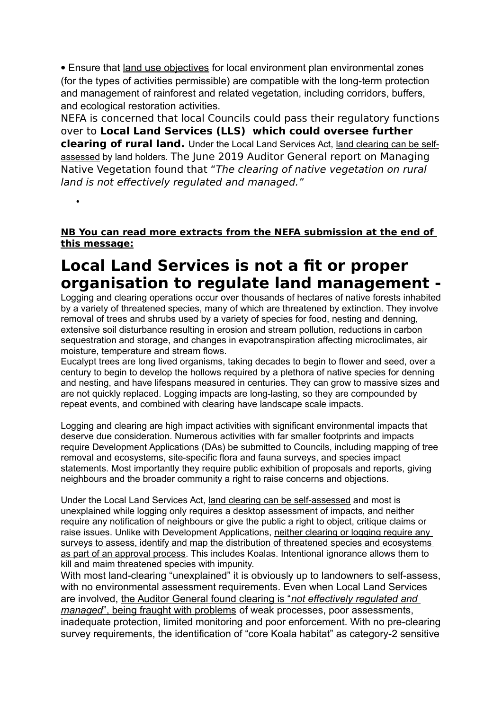Ensure that land use objectives for local environment plan environmental zones (for the types of activities permissible) are compatible with the long-term protection and management of rainforest and related vegetation, including corridors, buffers, and ecological restoration activities.

NEFA is concerned that local Councils could pass their regulatory functions over to **Local Land Services (LLS) which could oversee further clearing of rural land.** Under the Local Land Services Act, land clearing can be selfassessed by land holders. The June 2019 Auditor General report on Managing Native Vegetation found that "The clearing of native vegetation on rural land is not effectively regulated and managed."

**NB You can read more extracts from the NEFA submission at the end of this message:**

•

# **Local Land Services is not a fit or proper organisation to regulate land management -**

Logging and clearing operations occur over thousands of hectares of native forests inhabited by a variety of threatened species, many of which are threatened by extinction. They involve removal of trees and shrubs used by a variety of species for food, nesting and denning, extensive soil disturbance resulting in erosion and stream pollution, reductions in carbon sequestration and storage, and changes in evapotranspiration affecting microclimates, air moisture, temperature and stream flows.

Eucalypt trees are long lived organisms, taking decades to begin to flower and seed, over a century to begin to develop the hollows required by a plethora of native species for denning and nesting, and have lifespans measured in centuries. They can grow to massive sizes and are not quickly replaced. Logging impacts are long-lasting, so they are compounded by repeat events, and combined with clearing have landscape scale impacts.

Logging and clearing are high impact activities with significant environmental impacts that deserve due consideration. Numerous activities with far smaller footprints and impacts require Development Applications (DAs) be submitted to Councils, including mapping of tree removal and ecosystems, site-specific flora and fauna surveys, and species impact statements. Most importantly they require public exhibition of proposals and reports, giving neighbours and the broader community a right to raise concerns and objections.

Under the Local Land Services Act, land clearing can be self-assessed and most is unexplained while logging only requires a desktop assessment of impacts, and neither require any notification of neighbours or give the public a right to object, critique claims or raise issues. Unlike with Development Applications, neither clearing or logging require any surveys to assess, identify and map the distribution of threatened species and ecosystems as part of an approval process. This includes Koalas. Intentional ignorance allows them to kill and maim threatened species with impunity.

With most land-clearing "unexplained" it is obviously up to landowners to self-assess, with no environmental assessment requirements. Even when Local Land Services are involved, the Auditor General found clearing is "*not effectively regulated and managed*", being fraught with problems of weak processes, poor assessments, inadequate protection, limited monitoring and poor enforcement. With no pre-clearing survey requirements, the identification of "core Koala habitat" as category-2 sensitive